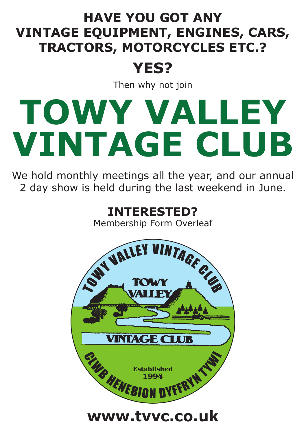### **HAVE YOU GOT ANY VINTAGE EQUIPMENT, ENGINES, CARS, TRACTORS, MOTORCYCLES ETC.?**

## **YES?**

Then why not join

# **TOWY VALLEY VINTAGE CLUB**

We hold monthly meetings all the year, and our annual 2 day show is held during the last weekend in June.

**INTERESTED?**

Membership Form Overleaf



**www.tvvc.co.uk**